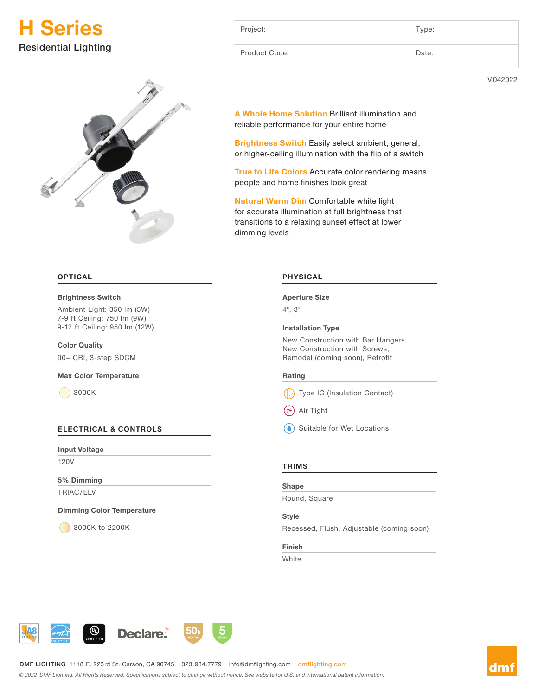



#### **OPTICAL**

#### Brightness Switch

Ambient Light: 350 lm (5W) 7-9 ft Ceiling: 750 lm (9W) 9-12 ft Ceiling: 950 lm (12W)

Color Quality

90+ CRI, 3-step SDCM

#### Max Color Temperature

3000K

#### ELECTRICAL & CONTROLS

Input Voltage

120V

5% Dimming TRIAC/ELV

Dimming Color Temperature

3000K to 2200K

| Project:      | Type: |
|---------------|-------|
| Product Code: | Date: |

V 042022

A Whole Home Solution Brilliant illumination and reliable performance for your entire home

Brightness Switch Easily select ambient, general, or higher-ceiling illumination with the flip of a switch

True to Life Colors Accurate color rendering means people and home finishes look great

Natural Warm Dim Comfortable white light for accurate illumination at full brightness that transitions to a relaxing sunset effect at lower dimming levels

#### PHYSICAL

#### Aperture Size

4", 3"

#### Installation Type

New Construction with Bar Hangers, New Construction with Screws, Remodel (coming soon), Retrofit

#### Rating

Type IC (Insulation Contact)

Air Tight

(<sup>6</sup>) Suitable for Wet Locations

#### **TRIMS**

#### Shape

Round, Square

#### Style

Recessed, Flush, Adjustable (coming soon)

#### Finish

White